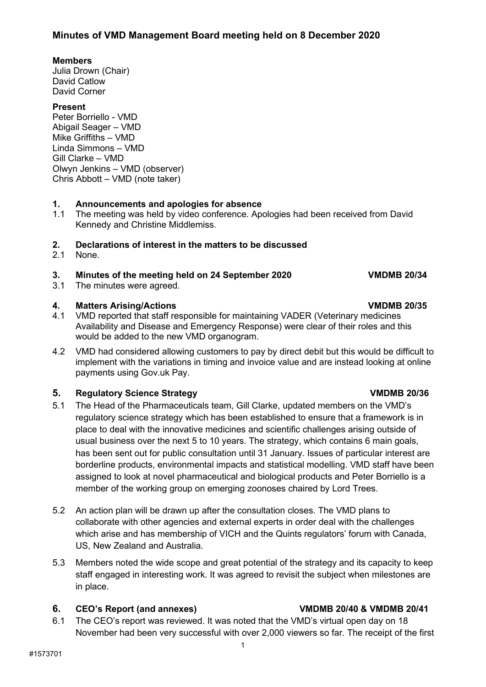### **Minutes of VMD Management Board meeting held on 8 December 2020**

### **Members**

Julia Drown (Chair) David Catlow David Corner

### **Present**

Peter Borriello - VMD Abigail Seager – VMD Mike Griffiths – VMD Linda Simmons – VMD Gill Clarke – VMD Olwyn Jenkins – VMD (observer) Chris Abbott – VMD (note taker)

# **1. Announcements and apologies for absence**

The meeting was held by video conference. Apologies had been received from David Kennedy and Christine Middlemiss.

# **2. Declarations of interest in the matters to be discussed**

None.

### **3. Minutes of the meeting held on 24 September 2020 VMDMB 20/34**

3.1 The minutes were agreed.

### **4. Matters Arising/Actions VMDMB 20/35**

- 4.1 VMD reported that staff responsible for maintaining VADER (Veterinary medicines Availability and Disease and Emergency Response) were clear of their roles and this would be added to the new VMD organogram.
- 4.2 VMD had considered allowing customers to pay by direct debit but this would be difficult to implement with the variations in timing and invoice value and are instead looking at online payments using Gov.uk Pay.

## **5. Regulatory Science Strategy VMDMB 20/36**

- 5.1 The Head of the Pharmaceuticals team, Gill Clarke, updated members on the VMD's regulatory science strategy which has been established to ensure that a framework is in place to deal with the innovative medicines and scientific challenges arising outside of usual business over the next 5 to 10 years. The strategy, which contains 6 main goals, has been sent out for public consultation until 31 January. Issues of particular interest are borderline products, environmental impacts and statistical modelling. VMD staff have been assigned to look at novel pharmaceutical and biological products and Peter Borriello is a member of the working group on emerging zoonoses chaired by Lord Trees.
- 5.2 An action plan will be drawn up after the consultation closes. The VMD plans to collaborate with other agencies and external experts in order deal with the challenges which arise and has membership of VICH and the Quints regulators' forum with Canada, US, New Zealand and Australia.
- 5.3 Members noted the wide scope and great potential of the strategy and its capacity to keep staff engaged in interesting work. It was agreed to revisit the subject when milestones are in place.

## **6. CEO's Report (and annexes) VMDMB 20/40 & VMDMB 20/41**

6.1 The CEO's report was reviewed. It was noted that the VMD's virtual open day on 18 November had been very successful with over 2,000 viewers so far. The receipt of the first